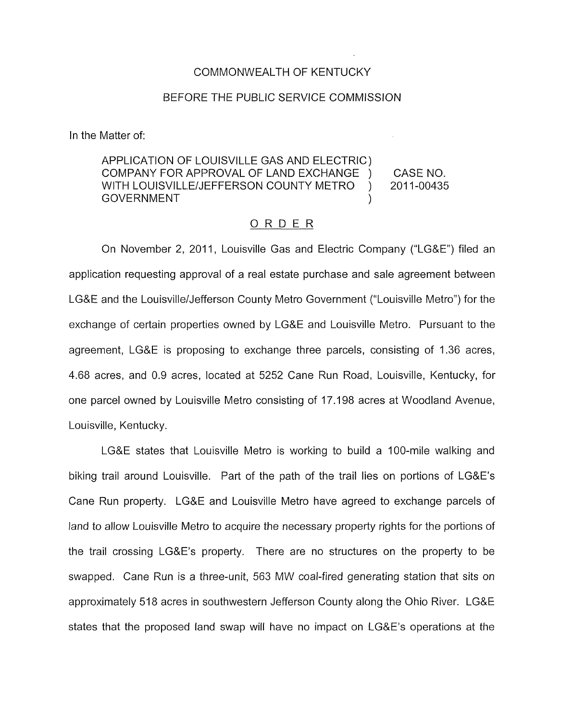## COMMONWEALTH OF KENTUCKY

## BEFORE THE PUBLIC SERVICE COMMISSION

In the Matter of:

## APPLICATION OF LOUISVILLE GAS AND ELECTRIC) COMPANY FOR APPROVAL OF LAND EXCHANGE ) CASE NO. WITH LOUISVILLE/JEFFERSON COUNTY METRO ) 2011-00435 **GOVERNMENT**

## ORDER

On November 2, 2011, Louisville Gas and Electric Company ("LG&E") filed an application requesting approval of a real estate purchase and sale agreement between LG&E and the Louisville/Jefferson County Metro Government ("Louisville Metro") for the exchange of certain properties owned by LG&E and Louisville Metro. Pursuant to the agreement, LG&E is proposing to exchange three parcels, consisting of 1.36 acres, 4.68 acres, and 0.9 acres, located at 5252 Cane Run Road, Louisville, Kentucky, for one parcel owned by Louisville Metro consisting of 17.1 98 acres at Woodland Avenue, Louisville, Kentucky.

LG&E states that Louisville Metro is working to build a 100-mile walking and biking trail around Louisville. Part of the path of the trail lies on portions of LG&E's Cane Run property. LG&E and Louisville Metro have agreed to exchange parcels of land to allow Louisville Metro to acquire the necessary property rights for the portions of the trail crossing LG&E's property. There are no structures on the property to be swapped. Cane Run is a three-unit, 563 MW coal-fired generating station that sits on approximately 518 acres in southwestern Jefferson County along the Ohio River. LG&E states that the proposed land swap will have no impact on LG&E's operations at the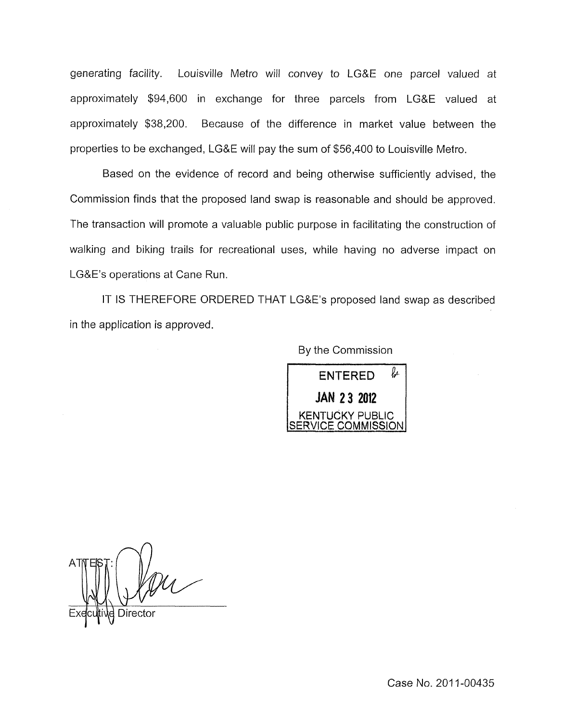generating facility. Louisville Metro will convey to LG&E one parcel valued at approximately \$94,600 in exchange for three parcels from LG&E valued at approximately \$38,200. Because of the difference in market value between the properties to be exchanged, LG&E will pay the sum of \$56,400 to Louisville Metro.

Based on the evidence of record and being otherwise sufficiently advised, the Commission finds that the proposed land swap is reasonable and should be approved. The transaction will promote a valuable public purpose in facilitating the construction of walking and biking trails for recreational uses, while having no adverse impact on LG&E's operations at Cane Run.

IT IS THEREFORE ORDERED THAT LG&E's proposed land swap as described in the application is approved.

By the Commission



Case No. 2011-00435